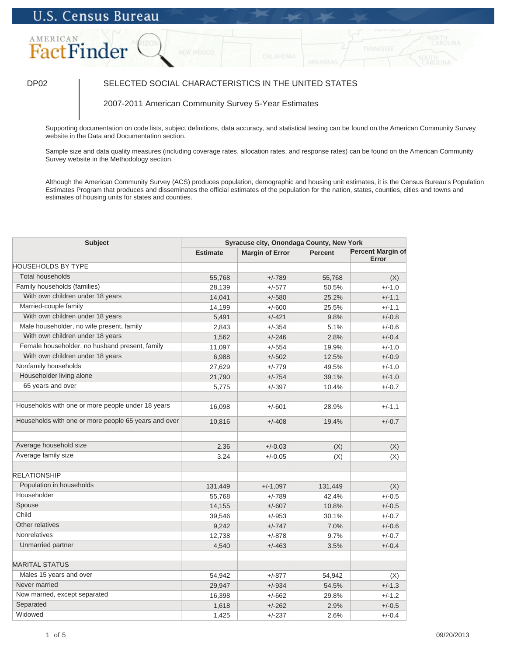# **U.S. Census Bureau**

## AMERICAN FactFinder

## DP02 SELECTED SOCIAL CHARACTERISTICS IN THE UNITED STATES

### 2007-2011 American Community Survey 5-Year Estimates

Supporting documentation on code lists, subject definitions, data accuracy, and statistical testing can be found on the American Community Survey website in the Data and Documentation section.

Sample size and data quality measures (including coverage rates, allocation rates, and response rates) can be found on the American Community Survey website in the Methodology section.

Although the American Community Survey (ACS) produces population, demographic and housing unit estimates, it is the Census Bureau's Population Estimates Program that produces and disseminates the official estimates of the population for the nation, states, counties, cities and towns and estimates of housing units for states and counties.

| <b>Subject</b>                                       | Syracuse city, Onondaga County, New York |                        |                |                                   |
|------------------------------------------------------|------------------------------------------|------------------------|----------------|-----------------------------------|
|                                                      | <b>Estimate</b>                          | <b>Margin of Error</b> | <b>Percent</b> | <b>Percent Margin of</b><br>Error |
| <b>HOUSEHOLDS BY TYPE</b>                            |                                          |                        |                |                                   |
| <b>Total households</b>                              | 55,768                                   | $+/-789$               | 55,768         | (X)                               |
| Family households (families)                         | 28,139                                   | $+/-577$               | 50.5%          | $+/-1.0$                          |
| With own children under 18 years                     | 14,041                                   | $+/-580$               | 25.2%          | $+/-1.1$                          |
| Married-couple family                                | 14,199                                   | $+/-600$               | 25.5%          | $+/-1.1$                          |
| With own children under 18 years                     | 5,491                                    | $+/-421$               | 9.8%           | $+/-0.8$                          |
| Male householder, no wife present, family            | 2,843                                    | $+/-354$               | 5.1%           | $+/-0.6$                          |
| With own children under 18 years                     | 1,562                                    | $+/-246$               | 2.8%           | $+/-0.4$                          |
| Female householder, no husband present, family       | 11,097                                   | $+/-554$               | 19.9%          | $+/-1.0$                          |
| With own children under 18 years                     | 6,988                                    | $+/-502$               | 12.5%          | $+/-0.9$                          |
| Nonfamily households                                 | 27,629                                   | $+/-779$               | 49.5%          | $+/-1.0$                          |
| Householder living alone                             | 21,790                                   | $+/-754$               | 39.1%          | $+/-1.0$                          |
| 65 years and over                                    | 5,775                                    | $+/-397$               | 10.4%          | $+/-0.7$                          |
|                                                      |                                          |                        |                |                                   |
| Households with one or more people under 18 years    | 16,098                                   | $+/-601$               | 28.9%          | $+/-1.1$                          |
| Households with one or more people 65 years and over | 10,816                                   | $+/-408$               | 19.4%          | $+/-0.7$                          |
| Average household size                               | 2.36                                     | $+/-0.03$              | (X)            | (X)                               |
| Average family size                                  | 3.24                                     | $+/-0.05$              | (X)            | (X)                               |
| <b>RELATIONSHIP</b>                                  |                                          |                        |                |                                   |
| Population in households                             | 131,449                                  | $+/-1,097$             | 131,449        | (X)                               |
| Householder                                          | 55,768                                   | $+/-789$               | 42.4%          | $+/-0.5$                          |
| Spouse                                               | 14,155                                   | $+/-607$               | 10.8%          | $+/-0.5$                          |
| Child                                                | 39,546                                   | $+/-953$               | 30.1%          | $+/-0.7$                          |
| Other relatives                                      | 9,242                                    | $+/-747$               | 7.0%           | $+/-0.6$                          |
| <b>Nonrelatives</b>                                  | 12,738                                   | $+/-878$               | 9.7%           | $+/-0.7$                          |
| Unmarried partner                                    | 4,540                                    | $+/-463$               | 3.5%           | $+/-0.4$                          |
| <b>MARITAL STATUS</b>                                |                                          |                        |                |                                   |
| Males 15 years and over                              | 54,942                                   | $+/-877$               | 54,942         | (X)                               |
| Never married                                        | 29,947                                   | $+/-934$               | 54.5%          | $+/-1.3$                          |
| Now married, except separated                        | 16,398                                   | $+/-662$               | 29.8%          | $+/-1.2$                          |
| Separated                                            | 1,618                                    | $+/-262$               | 2.9%           | $+/-0.5$                          |
| Widowed                                              | 1,425                                    | $+/-237$               | 2.6%           | $+/-0.4$                          |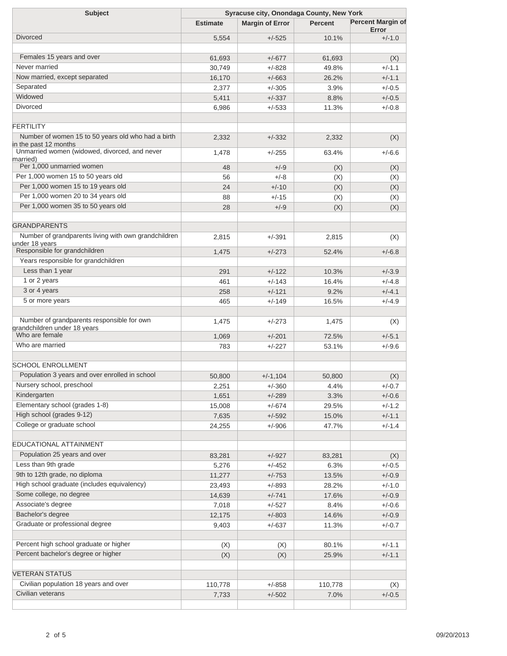| <b>Subject</b>                                                         | Syracuse city, Onondaga County, New York |                        |                |                                   |  |
|------------------------------------------------------------------------|------------------------------------------|------------------------|----------------|-----------------------------------|--|
|                                                                        | <b>Estimate</b>                          | <b>Margin of Error</b> | <b>Percent</b> | <b>Percent Margin of</b><br>Error |  |
| <b>Divorced</b>                                                        | 5,554                                    | $+/-525$               | 10.1%          | $+/-1.0$                          |  |
|                                                                        |                                          |                        |                |                                   |  |
| Females 15 years and over                                              | 61,693                                   | $+/-677$               | 61,693         | (X)                               |  |
| Never married                                                          | 30,749                                   | $+/-828$               | 49.8%          | $+/-1.1$                          |  |
| Now married, except separated                                          | 16,170                                   | $+/-663$               | 26.2%          | $+/-1.1$                          |  |
| Separated                                                              | 2,377                                    | $+/-305$               | 3.9%           | $+/-0.5$                          |  |
| Widowed                                                                | 5,411                                    | $+/-337$               | 8.8%           | $+/-0.5$                          |  |
| <b>Divorced</b>                                                        | 6,986                                    | $+/-533$               | 11.3%          | $+/-0.8$                          |  |
|                                                                        |                                          |                        |                |                                   |  |
| <b>FERTILITY</b>                                                       |                                          |                        |                |                                   |  |
| Number of women 15 to 50 years old who had a birth                     |                                          |                        |                |                                   |  |
| in the past 12 months                                                  | 2,332                                    | $+/-332$               | 2,332          | (X)                               |  |
| Unmarried women (widowed, divorced, and never                          | 1,478                                    | $+/-255$               | 63.4%          | $+/-6.6$                          |  |
| married)<br>Per 1,000 unmarried women                                  |                                          |                        |                |                                   |  |
| Per 1,000 women 15 to 50 years old                                     | 48                                       | $+/-9$                 | (X)            | (X)                               |  |
|                                                                        | 56                                       | $+/-8$                 | (X)            | (X)                               |  |
| Per 1,000 women 15 to 19 years old                                     | 24                                       | $+/-10$                | (X)            | (X)                               |  |
| Per 1,000 women 20 to 34 years old                                     | 88                                       | $+/-15$                | (X)            | (X)                               |  |
| Per 1,000 women 35 to 50 years old                                     | 28                                       | $+/-9$                 | (X)            | (X)                               |  |
|                                                                        |                                          |                        |                |                                   |  |
| <b>GRANDPARENTS</b>                                                    |                                          |                        |                |                                   |  |
| Number of grandparents living with own grandchildren<br>under 18 vears | 2,815                                    | $+/-391$               | 2,815          | (X)                               |  |
| Responsible for grandchildren                                          | 1,475                                    | $+/-273$               | 52.4%          | $+/-6.8$                          |  |
| Years responsible for grandchildren                                    |                                          |                        |                |                                   |  |
| Less than 1 year                                                       | 291                                      | $+/-122$               | 10.3%          | $+/-3.9$                          |  |
| 1 or 2 years                                                           | 461                                      | $+/-143$               | 16.4%          | $+/-4.8$                          |  |
| 3 or 4 years                                                           | 258                                      | $+/-121$               | 9.2%           | $+/-4.1$                          |  |
| 5 or more years                                                        | 465                                      | $+/-149$               | 16.5%          | $+/-4.9$                          |  |
|                                                                        |                                          |                        |                |                                   |  |
| Number of grandparents responsible for own                             |                                          | $+/-273$               |                |                                   |  |
| grandchildren under 18 years                                           | 1,475                                    |                        | 1,475          | (X)                               |  |
| Who are female                                                         | 1,069                                    | $+/-201$               | 72.5%          | $+/-5.1$                          |  |
| Who are married                                                        | 783                                      | $+/-227$               | 53.1%          | $+/-9.6$                          |  |
|                                                                        |                                          |                        |                |                                   |  |
| <b>SCHOOL ENROLLMENT</b>                                               |                                          |                        |                |                                   |  |
| Population 3 years and over enrolled in school                         | 50,800                                   | $+/-1.104$             | 50.800         | (X)                               |  |
| Nursery school, preschool                                              | 2,251                                    | $+/-360$               | 4.4%           | $+/-0.7$                          |  |
| Kindergarten                                                           | 1,651                                    | $+/-289$               | 3.3%           | $+/-0.6$                          |  |
| Elementary school (grades 1-8)                                         | 15,008                                   | $+/-674$               | 29.5%          | $+/-1.2$                          |  |
| High school (grades 9-12)                                              | 7,635                                    | $+/-592$               | 15.0%          | $+/-1.1$                          |  |
| College or graduate school                                             | 24,255                                   | $+/-906$               | 47.7%          | $+/-1.4$                          |  |
|                                                                        |                                          |                        |                |                                   |  |
| EDUCATIONAL ATTAINMENT                                                 |                                          |                        |                |                                   |  |
| Population 25 years and over                                           | 83,281                                   | $+/-927$               | 83,281         | (X)                               |  |
| Less than 9th grade                                                    | 5,276                                    | $+/-452$               | 6.3%           | $+/-0.5$                          |  |
| 9th to 12th grade, no diploma                                          | 11,277                                   | $+/-753$               | 13.5%          | $+/-0.9$                          |  |
| High school graduate (includes equivalency)                            | 23,493                                   | $+/-893$               | 28.2%          | $+/-1.0$                          |  |
| Some college, no degree                                                | 14,639                                   | $+/-741$               | 17.6%          | $+/-0.9$                          |  |
| Associate's degree                                                     | 7,018                                    | $+/-527$               | 8.4%           | $+/-0.6$                          |  |
| Bachelor's degree                                                      | 12,175                                   | $+/-803$               | 14.6%          | $+/-0.9$                          |  |
| Graduate or professional degree                                        | 9,403                                    | $+/-637$               | 11.3%          | $+/-0.7$                          |  |
|                                                                        |                                          |                        |                |                                   |  |
| Percent high school graduate or higher                                 |                                          |                        |                |                                   |  |
| Percent bachelor's degree or higher                                    | (X)                                      | (X)                    | 80.1%          | $+/-1.1$                          |  |
|                                                                        | (X)                                      | (X)                    | 25.9%          | $+/-1.1$                          |  |
| <b>VETERAN STATUS</b>                                                  |                                          |                        |                |                                   |  |
|                                                                        |                                          |                        |                |                                   |  |
| Civilian population 18 years and over<br>Civilian veterans             | 110,778                                  | $+/-858$               | 110,778        | (X)                               |  |
|                                                                        | 7,733                                    | $+/-502$               | 7.0%           | $+/-0.5$                          |  |
|                                                                        |                                          |                        |                |                                   |  |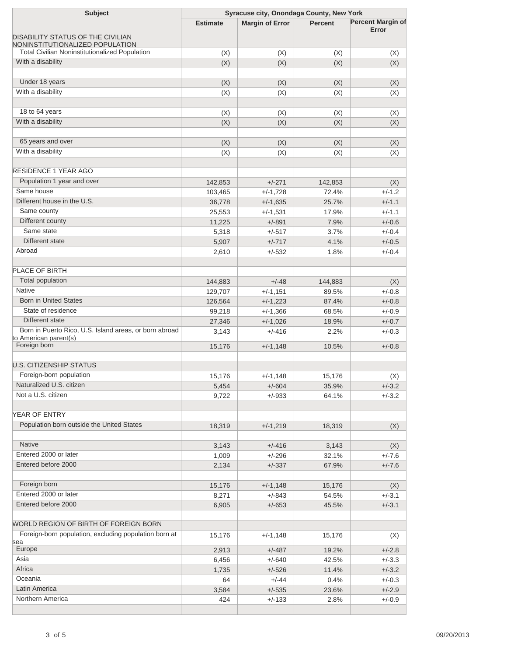| <b>Subject</b>                                         | Syracuse city, Onondaga County, New York |                        |                |                          |  |
|--------------------------------------------------------|------------------------------------------|------------------------|----------------|--------------------------|--|
|                                                        | <b>Estimate</b>                          | <b>Margin of Error</b> | <b>Percent</b> | <b>Percent Margin of</b> |  |
| DISABILITY STATUS OF THE CIVILIAN                      |                                          |                        |                | Error                    |  |
| NONINSTITUTIONALIZED POPULATION                        |                                          |                        |                |                          |  |
| <b>Total Civilian Noninstitutionalized Population</b>  | (X)                                      | (X)                    | (X)            | (X)                      |  |
| With a disability                                      | (X)                                      | (X)                    | (X)            | (X)                      |  |
|                                                        |                                          |                        |                |                          |  |
| Under 18 years                                         | (X)                                      | (X)                    | (X)            | (X)                      |  |
| With a disability                                      | (X)                                      | (X)                    | (X)            | (X)                      |  |
|                                                        |                                          |                        |                |                          |  |
| 18 to 64 years                                         | (X)                                      | (X)                    | (X)            | (X)                      |  |
| With a disability                                      | (X)                                      | (X)                    | (X)            | (X)                      |  |
|                                                        |                                          |                        |                |                          |  |
| 65 years and over                                      | (X)                                      | (X)                    | (X)            | (X)                      |  |
| With a disability                                      | (X)                                      | (X)                    | (X)            | (X)                      |  |
|                                                        |                                          |                        |                |                          |  |
| <b>RESIDENCE 1 YEAR AGO</b>                            |                                          |                        |                |                          |  |
| Population 1 year and over                             | 142,853                                  | $+/-271$               | 142,853        | (X)                      |  |
| Same house                                             | 103,465                                  | $+/-1,728$             | 72.4%          | $+/-1.2$                 |  |
| Different house in the U.S.                            | 36,778                                   | $+/-1,635$             | 25.7%          | $+/-1.1$                 |  |
| Same county                                            | 25,553                                   | $+/-1,531$             | 17.9%          | $+/-1.1$                 |  |
| Different county                                       | 11,225                                   | $+/-891$               | 7.9%           | $+/-0.6$                 |  |
| Same state                                             | 5,318                                    | $+/-517$               | 3.7%           | $+/-0.4$                 |  |
| Different state                                        | 5,907                                    | $+/-717$               | 4.1%           | $+/-0.5$                 |  |
| Abroad                                                 | 2,610                                    | $+/-532$               | 1.8%           | $+/-0.4$                 |  |
|                                                        |                                          |                        |                |                          |  |
| PLACE OF BIRTH                                         |                                          |                        |                |                          |  |
| Total population                                       | 144,883                                  | $+/-48$                | 144,883        | (X)                      |  |
| <b>Native</b>                                          | 129,707                                  | $+/-1,151$             | 89.5%          | $+/-0.8$                 |  |
| <b>Born in United States</b>                           | 126,564                                  | $+/-1,223$             | 87.4%          | $+/-0.8$                 |  |
| State of residence                                     | 99,218                                   | $+/-1,366$             | 68.5%          | $+/-0.9$                 |  |
| Different state                                        | 27,346                                   | $+/-1,026$             | 18.9%          | $+/-0.7$                 |  |
| Born in Puerto Rico, U.S. Island areas, or born abroad | 3,143                                    | $+/-416$               | 2.2%           | $+/-0.3$                 |  |
| to American parent(s)<br>Foreign born                  |                                          | $+/-1,148$             | 10.5%          | $+/-0.8$                 |  |
|                                                        | 15,176                                   |                        |                |                          |  |
| <b>U.S. CITIZENSHIP STATUS</b>                         |                                          |                        |                |                          |  |
| Foreign-born population                                | 15,176                                   | $+/-1,148$             | 15,176         | (X)                      |  |
| Naturalized U.S. citizen                               | 5,454                                    | $+/-604$               | 35.9%          | $+/-3.2$                 |  |
| Not a U.S. citizen                                     | 9,722                                    | $+/-933$               | 64.1%          | $+/-3.2$                 |  |
|                                                        |                                          |                        |                |                          |  |
| YEAR OF ENTRY                                          |                                          |                        |                |                          |  |
| Population born outside the United States              | 18,319                                   | $+/-1,219$             | 18,319         | (X)                      |  |
|                                                        |                                          |                        |                |                          |  |
| <b>Native</b>                                          | 3,143                                    | $+/-416$               | 3,143          | (X)                      |  |
| Entered 2000 or later                                  | 1,009                                    | $+/-296$               | 32.1%          | $+/-7.6$                 |  |
| Entered before 2000                                    | 2,134                                    | $+/-337$               | 67.9%          | $+/-7.6$                 |  |
|                                                        |                                          |                        |                |                          |  |
| Foreign born                                           | 15,176                                   | $+/-1,148$             | 15,176         | (X)                      |  |
| Entered 2000 or later                                  | 8,271                                    | $+/-843$               | 54.5%          | $+/-3.1$                 |  |
| Entered before 2000                                    | 6,905                                    | $+/-653$               | 45.5%          | $+/-3.1$                 |  |
|                                                        |                                          |                        |                |                          |  |
| WORLD REGION OF BIRTH OF FOREIGN BORN                  |                                          |                        |                |                          |  |
| Foreign-born population, excluding population born at  |                                          | $+/-1,148$             |                |                          |  |
| sea                                                    | 15,176                                   |                        | 15,176         | (X)                      |  |
| Europe                                                 | 2,913                                    | $+/-487$               | 19.2%          | $+/-2.8$                 |  |
| Asia                                                   | 6,456                                    | $+/-640$               | 42.5%          | $+/-3.3$                 |  |
| Africa                                                 | 1,735                                    | $+/-526$               | 11.4%          | $+/-3.2$                 |  |
| Oceania                                                | 64                                       | $+/-44$                | 0.4%           | $+/-0.3$                 |  |
| Latin America                                          | 3,584                                    | $+/-535$               | 23.6%          | $+/-2.9$                 |  |
| Northern America                                       | 424                                      | $+/-133$               | 2.8%           | $+/-0.9$                 |  |
|                                                        |                                          |                        |                |                          |  |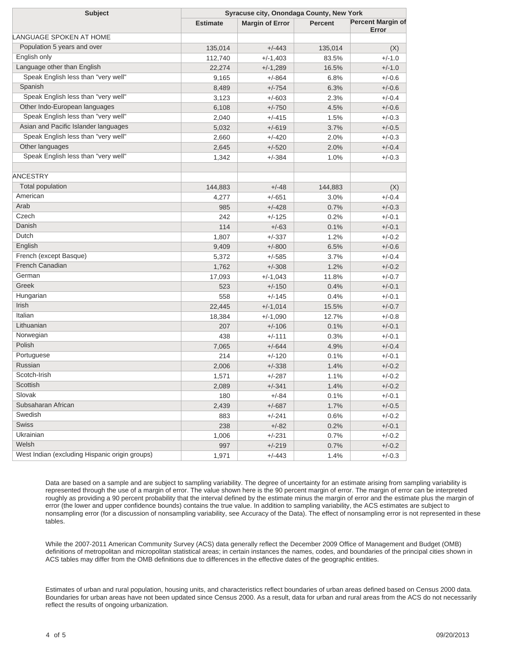| <b>Subject</b>                                 | Syracuse city, Onondaga County, New York |                        |                |                                   |
|------------------------------------------------|------------------------------------------|------------------------|----------------|-----------------------------------|
|                                                | <b>Estimate</b>                          | <b>Margin of Error</b> | <b>Percent</b> | <b>Percent Margin of</b><br>Error |
| LANGUAGE SPOKEN AT HOME                        |                                          |                        |                |                                   |
| Population 5 years and over                    | 135,014                                  | $+/-443$               | 135,014        | (X)                               |
| English only                                   | 112,740                                  | $+/-1,403$             | 83.5%          | $+/-1.0$                          |
| Language other than English                    | 22,274                                   | $+/-1,289$             | 16.5%          | $+/-1.0$                          |
| Speak English less than "very well"            | 9,165                                    | $+/-864$               | 6.8%           | $+/-0.6$                          |
| Spanish                                        | 8,489                                    | $+/-754$               | 6.3%           | $+/-0.6$                          |
| Speak English less than "very well"            | 3,123                                    | $+/-603$               | 2.3%           | $+/-0.4$                          |
| Other Indo-European languages                  | 6,108                                    | $+/-750$               | 4.5%           | $+/-0.6$                          |
| Speak English less than "very well"            | 2,040                                    | $+/-415$               | 1.5%           | $+/-0.3$                          |
| Asian and Pacific Islander languages           | 5,032                                    | $+/-619$               | 3.7%           | $+/-0.5$                          |
| Speak English less than "very well"            | 2,660                                    | $+/-420$               | 2.0%           | $+/-0.3$                          |
| Other languages                                | 2,645                                    | $+/-520$               | 2.0%           | $+/-0.4$                          |
| Speak English less than "very well"            | 1,342                                    | $+/-384$               | 1.0%           | $+/-0.3$                          |
| <b>ANCESTRY</b>                                |                                          |                        |                |                                   |
| Total population                               | 144,883                                  | $+/-48$                | 144,883        | (X)                               |
| American                                       | 4,277                                    | $+/-651$               | 3.0%           | $+/-0.4$                          |
| Arab                                           | 985                                      | $+/-428$               | 0.7%           | $+/-0.3$                          |
| Czech                                          | 242                                      | $+/-125$               | 0.2%           | $+/-0.1$                          |
| Danish                                         | 114                                      | $+/-63$                | 0.1%           | $+/-0.1$                          |
| Dutch                                          | 1,807                                    | $+/-337$               | 1.2%           | $+/-0.2$                          |
| English                                        | 9,409                                    | $+/-800$               | 6.5%           | $+/-0.6$                          |
| French (except Basque)                         | 5,372                                    | $+/-585$               | 3.7%           | $+/-0.4$                          |
| French Canadian                                | 1,762                                    | $+/-308$               | 1.2%           | $+/-0.2$                          |
| German                                         | 17,093                                   | $+/-1,043$             | 11.8%          | $+/-0.7$                          |
| Greek                                          | 523                                      | $+/-150$               | 0.4%           | $+/-0.1$                          |
| Hungarian                                      | 558                                      | $+/-145$               | 0.4%           | $+/-0.1$                          |
| Irish                                          | 22,445                                   | $+/-1,014$             | 15.5%          | $+/-0.7$                          |
| Italian                                        | 18,384                                   | $+/-1,090$             | 12.7%          | $+/-0.8$                          |
| Lithuanian                                     | 207                                      | $+/-106$               | 0.1%           | $+/-0.1$                          |
| Norwegian                                      | 438                                      | $+/-111$               | 0.3%           | $+/-0.1$                          |
| Polish                                         | 7,065                                    | $+/-644$               | 4.9%           | $+/-0.4$                          |
| Portuguese                                     | 214                                      | $+/-120$               | 0.1%           | $+/-0.1$                          |
| Russian                                        | 2,006                                    | $+/-338$               | 1.4%           | $+/-0.2$                          |
| Scotch-Irish                                   | 1,571                                    | $+/-287$               | 1.1%           | $+/-0.2$                          |
| Scottish                                       | 2,089                                    | $+/-341$               | 1.4%           | $+/-0.2$                          |
| Slovak                                         | 180                                      | $+/-84$                | 0.1%           | $+/-0.1$                          |
| Subsaharan African                             | 2,439                                    | $+/-687$               | 1.7%           | $+/-0.5$                          |
| Swedish                                        | 883                                      | $+/-241$               | 0.6%           | $+/-0.2$                          |
| Swiss                                          | 238                                      | $+/-82$                | 0.2%           | $+/-0.1$                          |
| Ukrainian                                      | 1,006                                    | $+/-231$               | 0.7%           | $+/-0.2$                          |
| Welsh                                          | 997                                      | $+/-219$               | 0.7%           | $+/-0.2$                          |
| West Indian (excluding Hispanic origin groups) | 1,971                                    | $+/-443$               | 1.4%           | $+/-0.3$                          |

Data are based on a sample and are subject to sampling variability. The degree of uncertainty for an estimate arising from sampling variability is represented through the use of a margin of error. The value shown here is the 90 percent margin of error. The margin of error can be interpreted roughly as providing a 90 percent probability that the interval defined by the estimate minus the margin of error and the estimate plus the margin of error (the lower and upper confidence bounds) contains the true value. In addition to sampling variability, the ACS estimates are subject to nonsampling error (for a discussion of nonsampling variability, see Accuracy of the Data). The effect of nonsampling error is not represented in these tables.

While the 2007-2011 American Community Survey (ACS) data generally reflect the December 2009 Office of Management and Budget (OMB) definitions of metropolitan and micropolitan statistical areas; in certain instances the names, codes, and boundaries of the principal cities shown in ACS tables may differ from the OMB definitions due to differences in the effective dates of the geographic entities.

Estimates of urban and rural population, housing units, and characteristics reflect boundaries of urban areas defined based on Census 2000 data. Boundaries for urban areas have not been updated since Census 2000. As a result, data for urban and rural areas from the ACS do not necessarily reflect the results of ongoing urbanization.